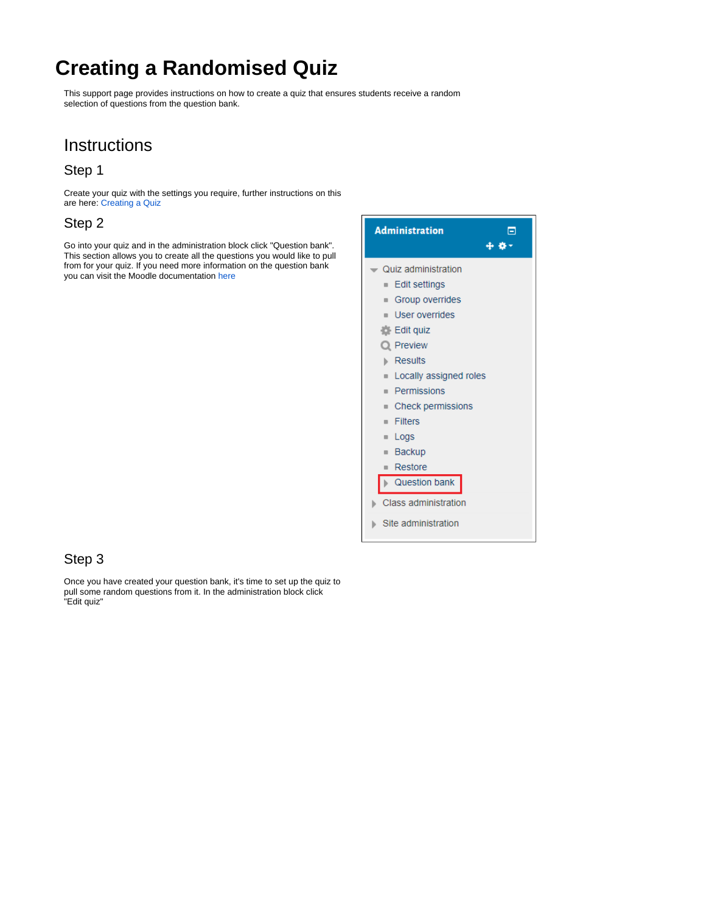# **Creating a Randomised Quiz**

This support page provides instructions on how to create a quiz that ensures students receive a random selection of questions from the question bank.

## **Instructions**

#### Step 1

Create your quiz with the settings you require, further instructions on this are here: [Creating a Quiz](https://wiki.lte.strath.ac.uk/display/MS/Creating+a+Quiz)

#### Step 2

Go into your quiz and in the administration block click "Question bank". This section allows you to create all the questions you would like to pull from for your quiz. If you need more information on the question bank you can visit the Moodle documentation [here](https://docs.moodle.org/35/en/Question_bank)



#### Step 3

Once you have created your question bank, it's time to set up the quiz to pull some random questions from it. In the administration block click "Edit quiz"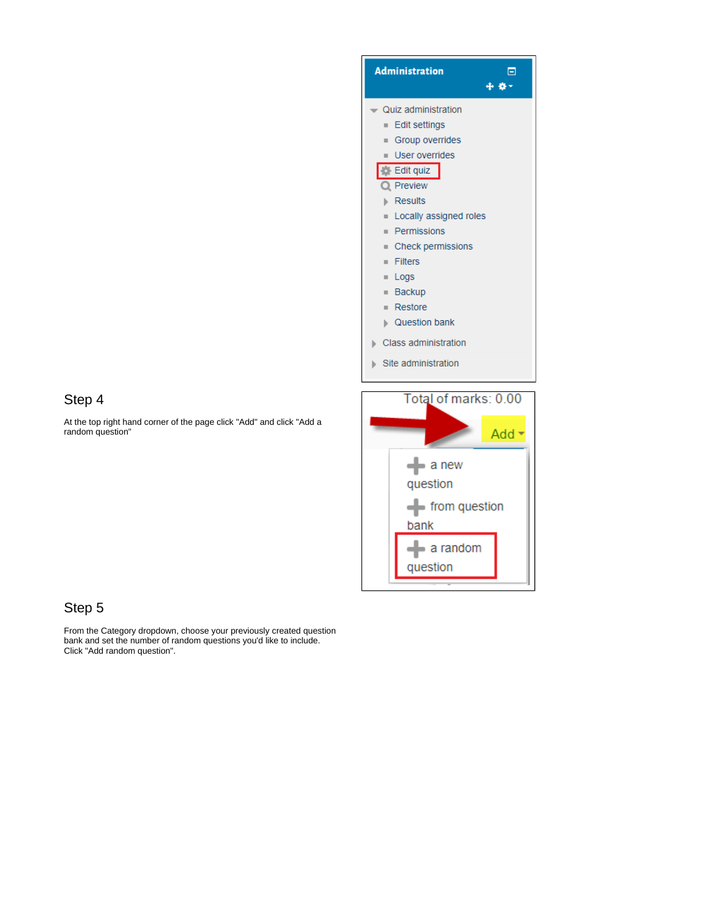

#### Step 4

At the top right hand corner of the page click "Add" and click "Add a random question"



### Step 5

From the Category dropdown, choose your previously created question bank and set the number of random questions you'd like to include. Click "Add random question".